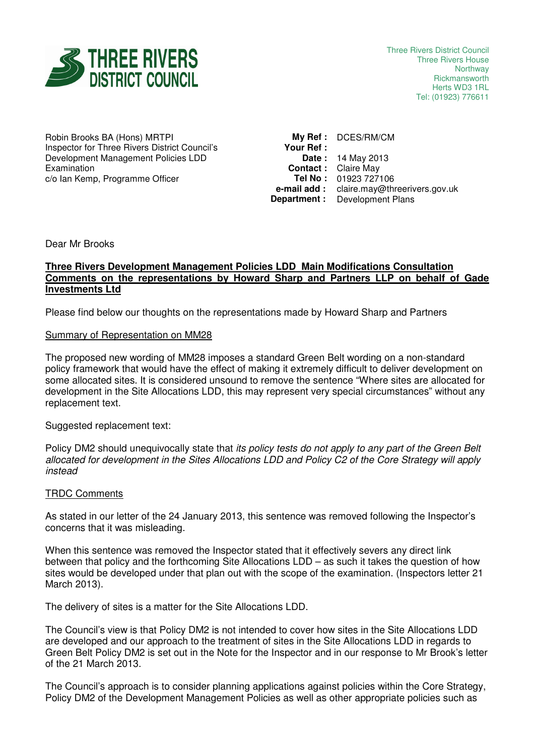

Robin Brooks BA (Hons) MRTPI Inspector for Three Rivers District Council's Development Management Policies LDD Examination c/o Ian Kemp, Programme Officer

**My Ref :** DCES/RM/CM **Your Ref : Date :** 14 May 2013 **Contact :** Claire May **Tel No :** 01923 727106 **e-mail add :** claire.may@threerivers.gov.uk **Department :** Development Plans

Dear Mr Brooks

### **Three Rivers Development Management Policies LDD Main Modifications Consultation Comments on the representations by Howard Sharp and Partners LLP on behalf of Gade Investments Ltd**

Please find below our thoughts on the representations made by Howard Sharp and Partners

### Summary of Representation on MM28

The proposed new wording of MM28 imposes a standard Green Belt wording on a non-standard policy framework that would have the effect of making it extremely difficult to deliver development on some allocated sites. It is considered unsound to remove the sentence "Where sites are allocated for development in the Site Allocations LDD, this may represent very special circumstances" without any replacement text.

Suggested replacement text:

Policy DM2 should unequivocally state that its policy tests do not apply to any part of the Green Belt allocated for development in the Sites Allocations LDD and Policy C2 of the Core Strategy will apply instead

# TRDC Comments

As stated in our letter of the 24 January 2013, this sentence was removed following the Inspector's concerns that it was misleading.

When this sentence was removed the Inspector stated that it effectively severs any direct link between that policy and the forthcoming Site Allocations LDD – as such it takes the question of how sites would be developed under that plan out with the scope of the examination. (Inspectors letter 21 March 2013).

The delivery of sites is a matter for the Site Allocations LDD.

The Council's view is that Policy DM2 is not intended to cover how sites in the Site Allocations LDD are developed and our approach to the treatment of sites in the Site Allocations LDD in regards to Green Belt Policy DM2 is set out in the Note for the Inspector and in our response to Mr Brook's letter of the 21 March 2013.

The Council's approach is to consider planning applications against policies within the Core Strategy, Policy DM2 of the Development Management Policies as well as other appropriate policies such as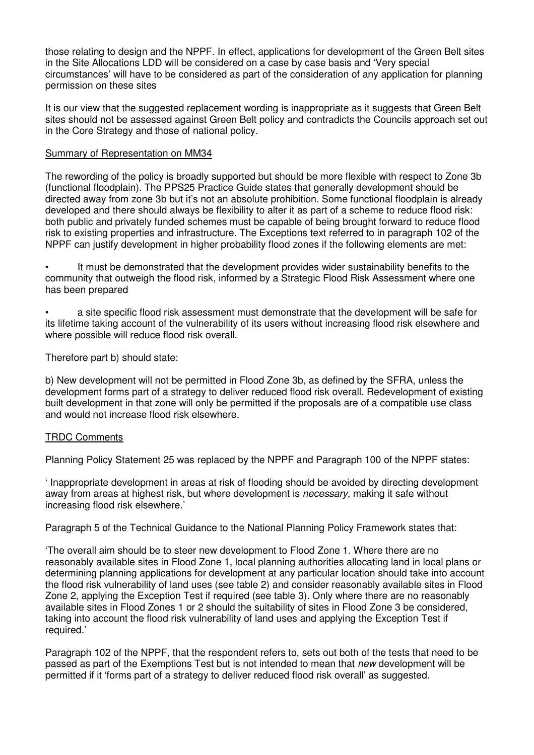those relating to design and the NPPF. In effect, applications for development of the Green Belt sites in the Site Allocations LDD will be considered on a case by case basis and 'Very special circumstances' will have to be considered as part of the consideration of any application for planning permission on these sites

It is our view that the suggested replacement wording is inappropriate as it suggests that Green Belt sites should not be assessed against Green Belt policy and contradicts the Councils approach set out in the Core Strategy and those of national policy.

# Summary of Representation on MM34

The rewording of the policy is broadly supported but should be more flexible with respect to Zone 3b (functional floodplain). The PPS25 Practice Guide states that generally development should be directed away from zone 3b but it's not an absolute prohibition. Some functional floodplain is already developed and there should always be flexibility to alter it as part of a scheme to reduce flood risk: both public and privately funded schemes must be capable of being brought forward to reduce flood risk to existing properties and infrastructure. The Exceptions text referred to in paragraph 102 of the NPPF can justify development in higher probability flood zones if the following elements are met:

• It must be demonstrated that the development provides wider sustainability benefits to the community that outweigh the flood risk, informed by a Strategic Flood Risk Assessment where one has been prepared

• a site specific flood risk assessment must demonstrate that the development will be safe for its lifetime taking account of the vulnerability of its users without increasing flood risk elsewhere and where possible will reduce flood risk overall.

Therefore part b) should state:

b) New development will not be permitted in Flood Zone 3b, as defined by the SFRA, unless the development forms part of a strategy to deliver reduced flood risk overall. Redevelopment of existing built development in that zone will only be permitted if the proposals are of a compatible use class and would not increase flood risk elsewhere.

# TRDC Comments

Planning Policy Statement 25 was replaced by the NPPF and Paragraph 100 of the NPPF states:

' Inappropriate development in areas at risk of flooding should be avoided by directing development away from areas at highest risk, but where development is necessary, making it safe without increasing flood risk elsewhere.'

Paragraph 5 of the Technical Guidance to the National Planning Policy Framework states that:

'The overall aim should be to steer new development to Flood Zone 1. Where there are no reasonably available sites in Flood Zone 1, local planning authorities allocating land in local plans or determining planning applications for development at any particular location should take into account the flood risk vulnerability of land uses (see table 2) and consider reasonably available sites in Flood Zone 2, applying the Exception Test if required (see table 3). Only where there are no reasonably available sites in Flood Zones 1 or 2 should the suitability of sites in Flood Zone 3 be considered, taking into account the flood risk vulnerability of land uses and applying the Exception Test if required.'

Paragraph 102 of the NPPF, that the respondent refers to, sets out both of the tests that need to be passed as part of the Exemptions Test but is not intended to mean that *new* development will be permitted if it 'forms part of a strategy to deliver reduced flood risk overall' as suggested.